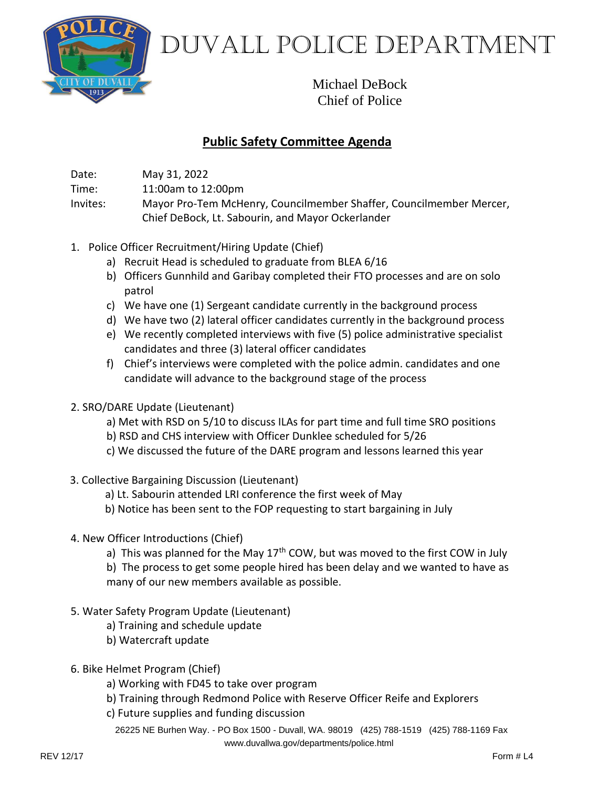

Duvall Police Department

Michael DeBock Chief of Police

## **Public Safety Committee Agenda**

Date: May 31, 2022

Time: 11:00am to 12:00pm

Invites: Mayor Pro-Tem McHenry, Councilmember Shaffer, Councilmember Mercer, Chief DeBock, Lt. Sabourin, and Mayor Ockerlander

- 1. Police Officer Recruitment/Hiring Update (Chief)
	- a) Recruit Head is scheduled to graduate from BLEA 6/16
	- b) Officers Gunnhild and Garibay completed their FTO processes and are on solo patrol
	- c) We have one (1) Sergeant candidate currently in the background process
	- d) We have two (2) lateral officer candidates currently in the background process
	- e) We recently completed interviews with five (5) police administrative specialist candidates and three (3) lateral officer candidates
	- f) Chief's interviews were completed with the police admin. candidates and one candidate will advance to the background stage of the process
- 2. SRO/DARE Update (Lieutenant)
	- a) Met with RSD on 5/10 to discuss ILAs for part time and full time SRO positions
	- b) RSD and CHS interview with Officer Dunklee scheduled for 5/26
	- c) We discussed the future of the DARE program and lessons learned this year
- 3. Collective Bargaining Discussion (Lieutenant)
	- a) Lt. Sabourin attended LRI conference the first week of May
	- b) Notice has been sent to the FOP requesting to start bargaining in July
- 4. New Officer Introductions (Chief)
	- a) This was planned for the May  $17<sup>th</sup>$  COW, but was moved to the first COW in July

b) The process to get some people hired has been delay and we wanted to have as many of our new members available as possible.

- 5. Water Safety Program Update (Lieutenant)
	- a) Training and schedule update
	- b) Watercraft update
- 6. Bike Helmet Program (Chief)
	- a) Working with FD45 to take over program
	- b) Training through Redmond Police with Reserve Officer Reife and Explorers
	- c) Future supplies and funding discussion

26225 NE Burhen Way. - PO Box 1500 - Duvall, WA. 98019 (425) 788-1519 (425) 788-1169 Fax [www.duvallwa.gov/departments/police.html](http://www.duvallwa.gov/departments/police.html)